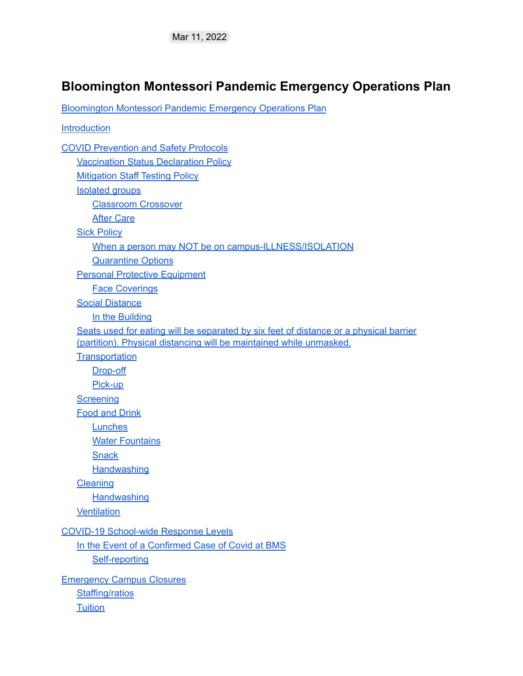#### <span id="page-0-0"></span>**Bloomington Montessori Pandemic Emergency Operations Plan**

[Bloomington](#page-0-0) Montessori Pandemic Emergency Operations Plan

**Introduction** COVID [Prevention](#page-1-0) and Safety Protocols [Vaccination](#page-1-1) Status Declaration Policy [Mitigation](#page-2-0) Staff Testing Policy [Isolated](#page-2-1) groups [Classroom](#page-3-0) Crossover After [Care](#page-3-1) **Sick [Policy](#page-3-2)** When a person may NOT be on [campus-ILLNESS/ISOLATION](#page-3-3) [Quarantine](#page-4-0) Options Personal Protective [Equipment](#page-4-1) Face [Coverings](#page-4-2) Social [Distance](#page-5-0) In the Building Seats used for eating will be separated by six feet of distance or a physical barrier (partition). Physical distancing will be maintained while unmasked. **[Transportation](#page-5-1)** [Drop-off](#page-5-2) [Pick-up](#page-6-0) **[Screening](#page-6-1)** Food and [Drink](#page-7-0) **[Lunches](#page-7-1) Water [Fountains](#page-7-2) [Snack](#page-7-3) [Handwashing](#page-7-4) [Cleaning](#page-8-0) [Handwashing](#page-8-1) [Ventilation](#page-8-2)** COVID-19 [School-wide](#page-9-0) Response Levels In the Event of a [Confirmed](#page-9-1) Case of Covid at BMS [Self-reporting](#page-9-2) [Emergency](#page-10-0) Campus Closures [Staffing/ratios](#page-10-1) **[Tuition](#page-10-2)**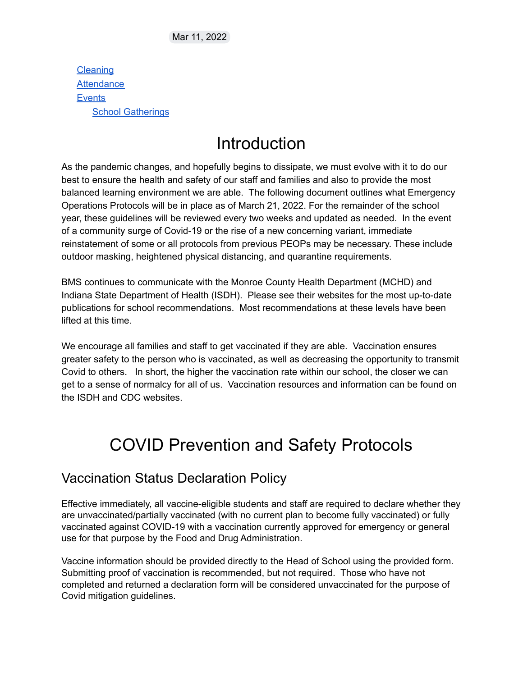**[Cleaning](#page-10-3) [Attendance](#page-10-4) [Events](#page-11-0)** School [Gatherings](#page-11-1)

# **Introduction**

As the pandemic changes, and hopefully begins to dissipate, we must evolve with it to do our best to ensure the health and safety of our staff and families and also to provide the most balanced learning environment we are able. The following document outlines what Emergency Operations Protocols will be in place as of March 21, 2022. For the remainder of the school year, these guidelines will be reviewed every two weeks and updated as needed. In the event of a community surge of Covid-19 or the rise of a new concerning variant, immediate reinstatement of some or all protocols from previous PEOPs may be necessary. These include outdoor masking, heightened physical distancing, and quarantine requirements.

BMS continues to communicate with the Monroe County Health Department (MCHD) and Indiana State Department of Health (ISDH). Please see their websites for the most up-to-date publications for school recommendations. Most recommendations at these levels have been lifted at this time.

We encourage all families and staff to get vaccinated if they are able. Vaccination ensures greater safety to the person who is vaccinated, as well as decreasing the opportunity to transmit Covid to others. In short, the higher the vaccination rate within our school, the closer we can get to a sense of normalcy for all of us. Vaccination resources and information can be found on the ISDH and CDC websites.

# <span id="page-1-0"></span>COVID Prevention and Safety Protocols

#### <span id="page-1-1"></span>Vaccination Status Declaration Policy

Effective immediately, all vaccine-eligible students and staff are required to declare whether they are unvaccinated/partially vaccinated (with no current plan to become fully vaccinated) or fully vaccinated against COVID-19 with a vaccination currently approved for emergency or general use for that purpose by the Food and Drug Administration.

Vaccine information should be provided directly to the Head of School using the provided form. Submitting proof of vaccination is recommended, but not required. Those who have not completed and returned a declaration form will be considered unvaccinated for the purpose of Covid mitigation guidelines.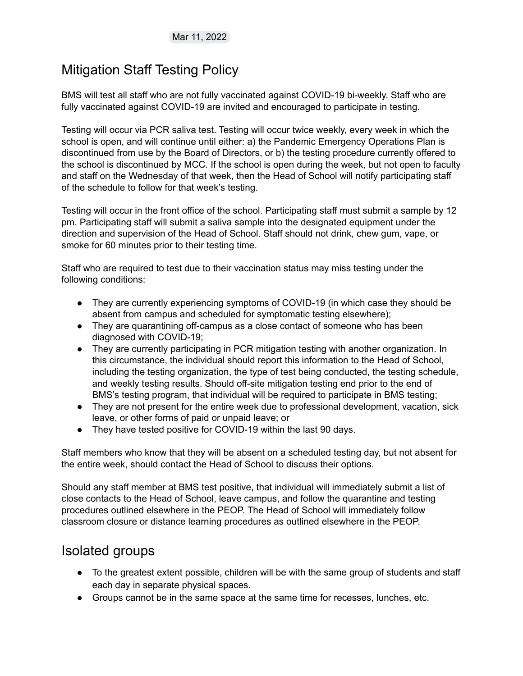### <span id="page-2-0"></span>Mitigation Staff Testing Policy

BMS will test all staff who are not fully vaccinated against COVID-19 bi-weekly. Staff who are fully vaccinated against COVID-19 are invited and encouraged to participate in testing.

Testing will occur via PCR saliva test. Testing will occur twice weekly, every week in which the school is open, and will continue until either: a) the Pandemic Emergency Operations Plan is discontinued from use by the Board of Directors, or b) the testing procedure currently offered to the school is discontinued by MCC. If the school is open during the week, but not open to faculty and staff on the Wednesday of that week, then the Head of School will notify participating staff of the schedule to follow for that week's testing.

Testing will occur in the front office of the school. Participating staff must submit a sample by 12 pm. Participating staff will submit a saliva sample into the designated equipment under the direction and supervision of the Head of School. Staff should not drink, chew gum, vape, or smoke for 60 minutes prior to their testing time.

Staff who are required to test due to their vaccination status may miss testing under the following conditions:

- They are currently experiencing symptoms of COVID-19 (in which case they should be absent from campus and scheduled for symptomatic testing elsewhere);
- They are quarantining off-campus as a close contact of someone who has been diagnosed with COVID-19;
- They are currently participating in PCR mitigation testing with another organization. In this circumstance, the individual should report this information to the Head of School, including the testing organization, the type of test being conducted, the testing schedule, and weekly testing results. Should off-site mitigation testing end prior to the end of BMS's testing program, that individual will be required to participate in BMS testing;
- They are not present for the entire week due to professional development, vacation, sick leave, or other forms of paid or unpaid leave; or
- They have tested positive for COVID-19 within the last 90 days.

Staff members who know that they will be absent on a scheduled testing day, but not absent for the entire week, should contact the Head of School to discuss their options.

Should any staff member at BMS test positive, that individual will immediately submit a list of close contacts to the Head of School, leave campus, and follow the quarantine and testing procedures outlined elsewhere in the PEOP. The Head of School will immediately follow classroom closure or distance learning procedures as outlined elsewhere in the PEOP.

#### <span id="page-2-1"></span>Isolated groups

- To the greatest extent possible, children will be with the same group of students and staff each day in separate physical spaces.
- Groups cannot be in the same space at the same time for recesses, lunches, etc.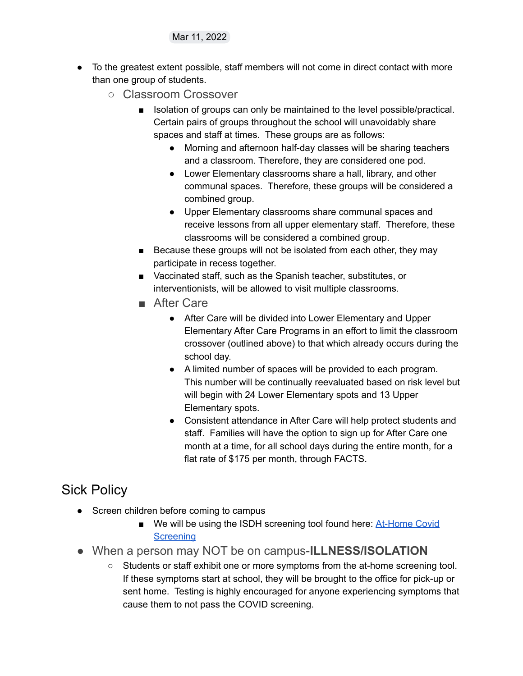- <span id="page-3-0"></span>● To the greatest extent possible, staff members will not come in direct contact with more than one group of students.
	- Classroom Crossover
		- Isolation of groups can only be maintained to the level possible/practical. Certain pairs of groups throughout the school will unavoidably share spaces and staff at times. These groups are as follows:
			- Morning and afternoon half-day classes will be sharing teachers and a classroom. Therefore, they are considered one pod.
			- Lower Elementary classrooms share a hall, library, and other communal spaces. Therefore, these groups will be considered a combined group.
			- Upper Elementary classrooms share communal spaces and receive lessons from all upper elementary staff. Therefore, these classrooms will be considered a combined group.
		- Because these groups will not be isolated from each other, they may participate in recess together.
		- Vaccinated staff, such as the Spanish teacher, substitutes, or interventionists, will be allowed to visit multiple classrooms.
		- After Care
			- After Care will be divided into Lower Elementary and Upper Elementary After Care Programs in an effort to limit the classroom crossover (outlined above) to that which already occurs during the school day.
			- A limited number of spaces will be provided to each program. This number will be continually reevaluated based on risk level but will begin with 24 Lower Elementary spots and 13 Upper Elementary spots.
			- Consistent attendance in After Care will help protect students and staff. Families will have the option to sign up for After Care one month at a time, for all school days during the entire month, for a flat rate of \$175 per month, through FACTS.

#### <span id="page-3-2"></span><span id="page-3-1"></span>Sick Policy

- Screen children before coming to campus
	- We will be using the ISDH screening tool found here: [At-Home](https://www.coronavirus.in.gov/files/21_Parent-screening-12-29-21.pdf) Covid **[Screening](https://www.coronavirus.in.gov/files/21_Parent-screening-12-29-21.pdf)**
- <span id="page-3-3"></span>● When a person may NOT be on campus-**ILLNESS/ISOLATION**
	- Students or staff exhibit one or more symptoms from the at-home screening tool. If these symptoms start at school, they will be brought to the office for pick-up or sent home. Testing is highly encouraged for anyone experiencing symptoms that cause them to not pass the COVID screening.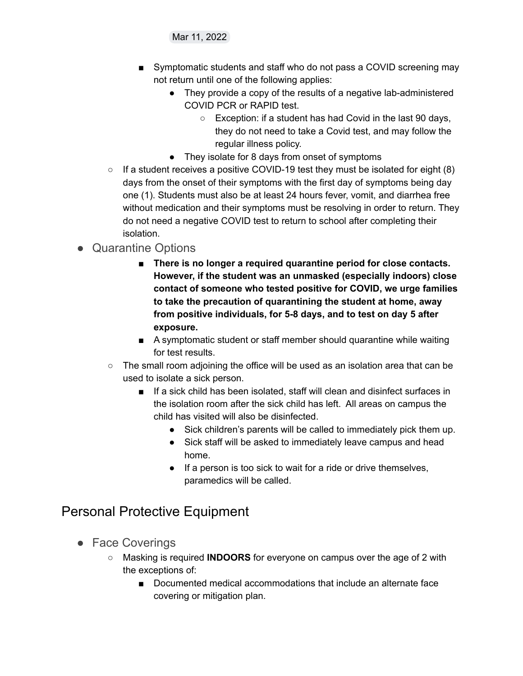- Symptomatic students and staff who do not pass a COVID screening may not return until one of the following applies:
	- They provide a copy of the results of a negative lab-administered COVID PCR or RAPID test.
		- Exception: if a student has had Covid in the last 90 days, they do not need to take a Covid test, and may follow the regular illness policy.
	- They isolate for 8 days from onset of symptoms
- $\circ$  If a student receives a positive COVID-19 test they must be isolated for eight (8) days from the onset of their symptoms with the first day of symptoms being day one (1). Students must also be at least 24 hours fever, vomit, and diarrhea free without medication and their symptoms must be resolving in order to return. They do not need a negative COVID test to return to school after completing their isolation.

#### <span id="page-4-0"></span>● Quarantine Options

- **There is no longer a required quarantine period for close contacts. However, if the student was an unmasked (especially indoors) close contact of someone who tested positive for COVID, we urge families to take the precaution of quarantining the student at home, away from positive individuals, for 5-8 days, and to test on day 5 after exposure.**
- A symptomatic student or staff member should quarantine while waiting for test results.
- The small room adjoining the office will be used as an isolation area that can be used to isolate a sick person.
	- If a sick child has been isolated, staff will clean and disinfect surfaces in the isolation room after the sick child has left. All areas on campus the child has visited will also be disinfected.
		- Sick children's parents will be called to immediately pick them up.
		- Sick staff will be asked to immediately leave campus and head home.
		- If a person is too sick to wait for a ride or drive themselves, paramedics will be called.

## <span id="page-4-1"></span>Personal Protective Equipment

- <span id="page-4-2"></span>● Face Coverings
	- Masking is required **INDOORS** for everyone on campus over the age of 2 with the exceptions of:
		- Documented medical accommodations that include an alternate face covering or mitigation plan.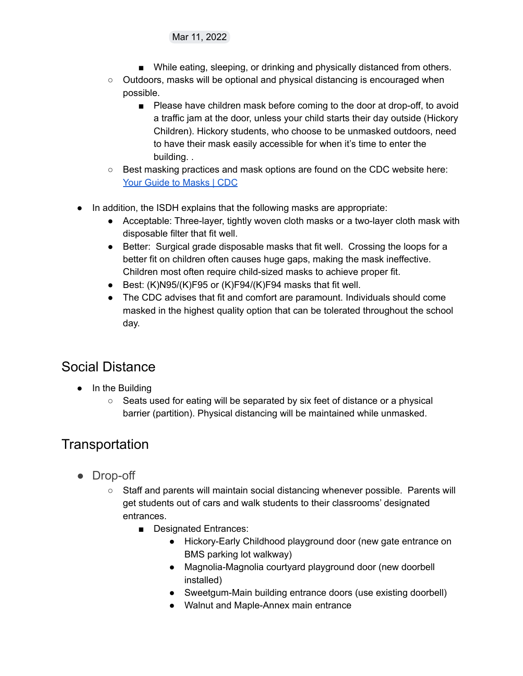- While eating, sleeping, or drinking and physically distanced from others.
- Outdoors, masks will be optional and physical distancing is encouraged when possible.
	- Please have children mask before coming to the door at drop-off, to avoid a traffic jam at the door, unless your child starts their day outside (Hickory Children). Hickory students, who choose to be unmasked outdoors, need to have their mask easily accessible for when it's time to enter the building. .
- Best masking practices and mask options are found on the CDC website here: Your Guide to [Masks](https://www.cdc.gov/coronavirus/2019-ncov/prevent-getting-sick/types-of-masks.html) | CDC
- In addition, the ISDH explains that the following masks are appropriate:
	- Acceptable: Three-layer, tightly woven cloth masks or a two-layer cloth mask with disposable filter that fit well.
	- Better: Surgical grade disposable masks that fit well. Crossing the loops for a better fit on children often causes huge gaps, making the mask ineffective. Children most often require child-sized masks to achieve proper fit.
	- $\bullet$  Best: (K)N95/(K)F95 or (K)F94/(K)F94 masks that fit well.
	- The CDC advises that fit and comfort are paramount. Individuals should come masked in the highest quality option that can be tolerated throughout the school day.

## <span id="page-5-0"></span>Social Distance

- In the Building
	- Seats used for eating will be separated by six feet of distance or a physical barrier (partition). Physical distancing will be maintained while unmasked.

## <span id="page-5-1"></span>**Transportation**

- <span id="page-5-2"></span>● Drop-off
	- Staff and parents will maintain social distancing whenever possible. Parents will get students out of cars and walk students to their classrooms' designated entrances.
		- Designated Entrances:
			- Hickory-Early Childhood playground door (new gate entrance on BMS parking lot walkway)
			- Magnolia-Magnolia courtyard playground door (new doorbell installed)
			- Sweetgum-Main building entrance doors (use existing doorbell)
			- Walnut and Maple-Annex main entrance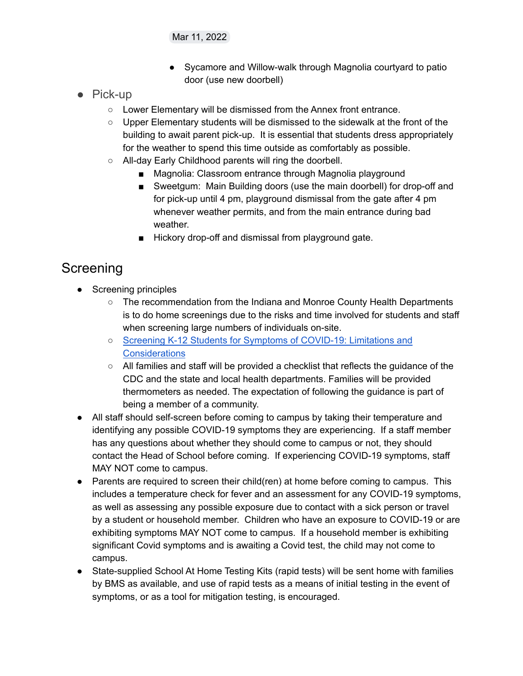- Sycamore and Willow-walk through Magnolia courtyard to patio door (use new doorbell)
- <span id="page-6-0"></span>● Pick-up
	- Lower Elementary will be dismissed from the Annex front entrance.
	- Upper Elementary students will be dismissed to the sidewalk at the front of the building to await parent pick-up. It is essential that students dress appropriately for the weather to spend this time outside as comfortably as possible.
	- All-day Early Childhood parents will ring the doorbell.
		- Magnolia: Classroom entrance through Magnolia playground
		- Sweetgum: Main Building doors (use the main doorbell) for drop-off and for pick-up until 4 pm, playground dismissal from the gate after 4 pm whenever weather permits, and from the main entrance during bad weather.
		- Hickory drop-off and dismissal from playground gate.

# <span id="page-6-1"></span>Screening

- Screening principles
	- The recommendation from the Indiana and Monroe County Health Departments is to do home screenings due to the risks and time involved for students and staff when screening large numbers of individuals on-site.
	- Screening K-12 Students for Symptoms of [COVID-19:](https://www.coronavirus.in.gov/files/20_School-Screening-symptoms_10-22-20.pdf) Limitations and **[Considerations](https://www.coronavirus.in.gov/files/20_School-Screening-symptoms_10-22-20.pdf)**
	- All families and staff will be provided a checklist that reflects the guidance of the CDC and the state and local health departments. Families will be provided thermometers as needed. The expectation of following the guidance is part of being a member of a community.
- All staff should self-screen before coming to campus by taking their temperature and identifying any possible COVID-19 symptoms they are experiencing. If a staff member has any questions about whether they should come to campus or not, they should contact the Head of School before coming. If experiencing COVID-19 symptoms, staff MAY NOT come to campus.
- Parents are required to screen their child(ren) at home before coming to campus. This includes a temperature check for fever and an assessment for any COVID-19 symptoms, as well as assessing any possible exposure due to contact with a sick person or travel by a student or household member. Children who have an exposure to COVID-19 or are exhibiting symptoms MAY NOT come to campus. If a household member is exhibiting significant Covid symptoms and is awaiting a Covid test, the child may not come to campus.
- State-supplied School At Home Testing Kits (rapid tests) will be sent home with families by BMS as available, and use of rapid tests as a means of initial testing in the event of symptoms, or as a tool for mitigation testing, is encouraged.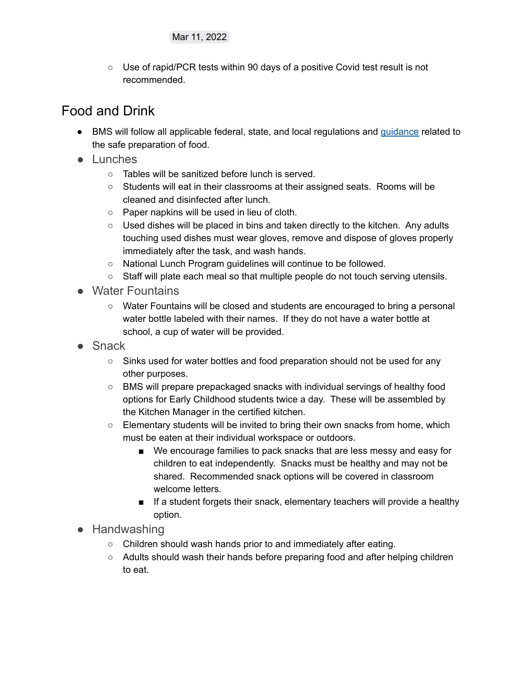○ Use of rapid/PCR tests within 90 days of a positive Covid test result is not recommended.

## <span id="page-7-0"></span>Food and Drink

- BMS will follow all applicable federal, state, and local regulations and [guidance](https://nrckids.org/CFOC/Database/4.9) related to the safe preparation of food.
- <span id="page-7-1"></span>● Lunches
	- Tables will be sanitized before lunch is served.
	- Students will eat in their classrooms at their assigned seats. Rooms will be cleaned and disinfected after lunch.
	- Paper napkins will be used in lieu of cloth.
	- Used dishes will be placed in bins and taken directly to the kitchen. Any adults touching used dishes must wear gloves, remove and dispose of gloves properly immediately after the task, and wash hands.
	- National Lunch Program guidelines will continue to be followed.
	- Staff will plate each meal so that multiple people do not touch serving utensils.
- <span id="page-7-2"></span>● Water Fountains
	- Water Fountains will be closed and students are encouraged to bring a personal water bottle labeled with their names. If they do not have a water bottle at school, a cup of water will be provided.
- <span id="page-7-3"></span>● Snack
	- Sinks used for water bottles and food preparation should not be used for any other purposes.
	- BMS will prepare prepackaged snacks with individual servings of healthy food options for Early Childhood students twice a day. These will be assembled by the Kitchen Manager in the certified kitchen.
	- $\circ$  Elementary students will be invited to bring their own snacks from home, which must be eaten at their individual workspace or outdoors.
		- We encourage families to pack snacks that are less messy and easy for children to eat independently. Snacks must be healthy and may not be shared. Recommended snack options will be covered in classroom welcome letters.
		- If a student forgets their snack, elementary teachers will provide a healthy option.
- <span id="page-7-4"></span>● Handwashing
	- Children should wash hands prior to and immediately after eating.
	- Adults should wash their hands before preparing food and after helping children to eat.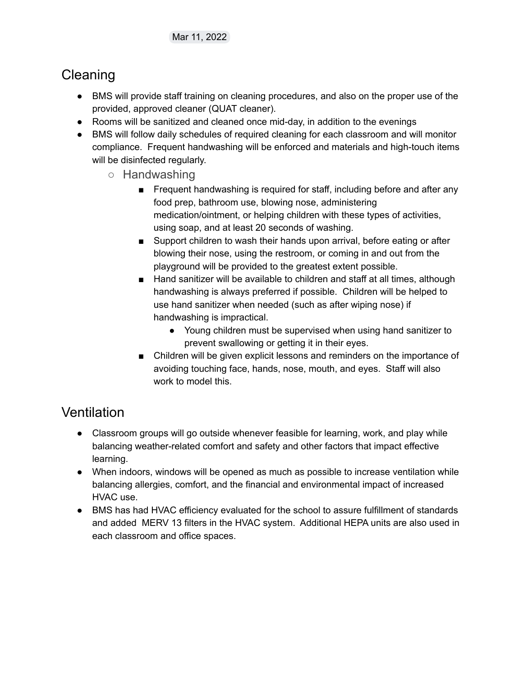## <span id="page-8-0"></span>Cleaning

- BMS will provide staff training on cleaning procedures, and also on the proper use of the provided, approved cleaner (QUAT cleaner).
- Rooms will be sanitized and cleaned once mid-day, in addition to the evenings
- <span id="page-8-1"></span>● BMS will follow daily schedules of required cleaning for each classroom and will monitor compliance. Frequent handwashing will be enforced and materials and high-touch items will be disinfected regularly.
	- Handwashing
		- Frequent handwashing is required for staff, including before and after any food prep, bathroom use, blowing nose, administering medication/ointment, or helping children with these types of activities, using soap, and at least 20 seconds of washing.
		- Support children to wash their hands upon arrival, before eating or after blowing their nose, using the restroom, or coming in and out from the playground will be provided to the greatest extent possible.
		- Hand sanitizer will be available to children and staff at all times, although handwashing is always preferred if possible. Children will be helped to use hand sanitizer when needed (such as after wiping nose) if handwashing is impractical.
			- Young children must be supervised when using hand sanitizer to prevent swallowing or getting it in their eyes.
		- Children will be given explicit lessons and reminders on the importance of avoiding touching face, hands, nose, mouth, and eyes. Staff will also work to model this.

## <span id="page-8-2"></span>**Ventilation**

- Classroom groups will go outside whenever feasible for learning, work, and play while balancing weather-related comfort and safety and other factors that impact effective learning.
- When indoors, windows will be opened as much as possible to increase ventilation while balancing allergies, comfort, and the financial and environmental impact of increased HVAC use.
- BMS has had HVAC efficiency evaluated for the school to assure fulfillment of standards and added MERV 13 filters in the HVAC system. Additional HEPA units are also used in each classroom and office spaces.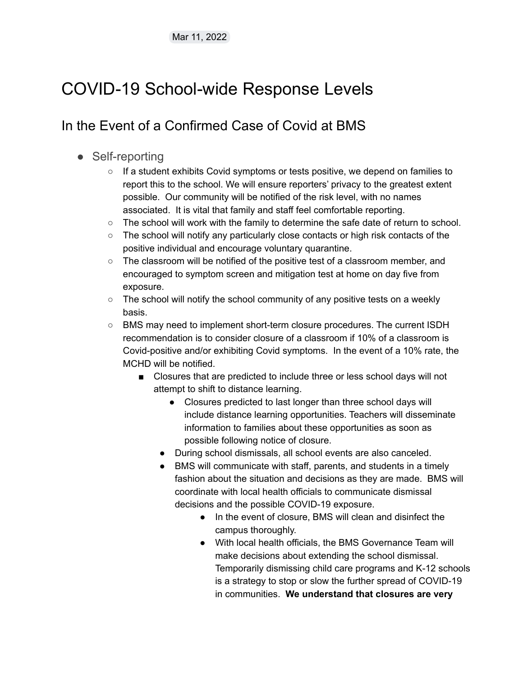# <span id="page-9-0"></span>COVID-19 School-wide Response Levels

## <span id="page-9-1"></span>In the Event of a Confirmed Case of Covid at BMS

- <span id="page-9-2"></span>• Self-reporting
	- $\circ$  If a student exhibits Covid symptoms or tests positive, we depend on families to report this to the school. We will ensure reporters' privacy to the greatest extent possible. Our community will be notified of the risk level, with no names associated. It is vital that family and staff feel comfortable reporting.
	- $\circ$  The school will work with the family to determine the safe date of return to school.
	- $\circ$  The school will notify any particularly close contacts or high risk contacts of the positive individual and encourage voluntary quarantine.
	- The classroom will be notified of the positive test of a classroom member, and encouraged to symptom screen and mitigation test at home on day five from exposure.
	- $\circ$  The school will notify the school community of any positive tests on a weekly basis.
	- BMS may need to implement short-term closure procedures. The current ISDH recommendation is to consider closure of a classroom if 10% of a classroom is Covid-positive and/or exhibiting Covid symptoms. In the event of a 10% rate, the MCHD will be notified.
		- Closures that are predicted to include three or less school days will not attempt to shift to distance learning.
			- Closures predicted to last longer than three school days will include distance learning opportunities. Teachers will disseminate information to families about these opportunities as soon as possible following notice of closure.
			- During school dismissals, all school events are also canceled.
			- BMS will communicate with staff, parents, and students in a timely fashion about the situation and decisions as they are made. BMS will coordinate with local health officials to communicate dismissal decisions and the possible COVID-19 exposure.
				- In the event of closure, BMS will clean and disinfect the campus thoroughly.
				- With local health officials, the BMS Governance Team will make decisions about extending the school dismissal. Temporarily dismissing child care programs and K-12 schools is a strategy to stop or slow the further spread of COVID-19 in communities. **We understand that closures are very**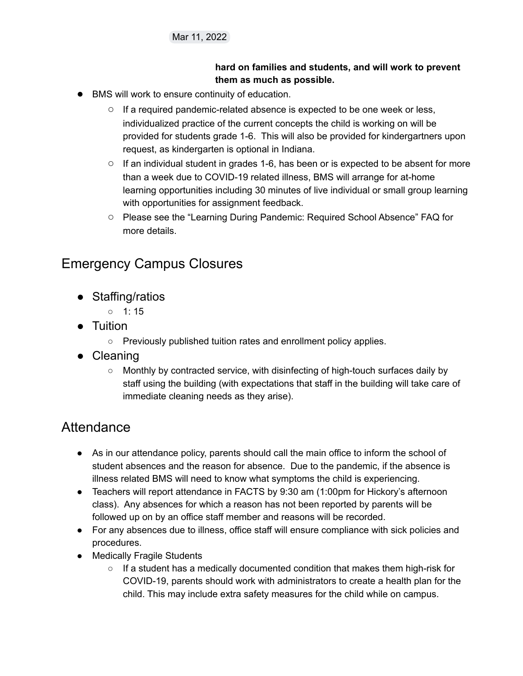#### **hard on families and students, and will work to prevent them as much as possible.**

- BMS will work to ensure continuity of education.
	- $\circ$  If a required pandemic-related absence is expected to be one week or less, individualized practice of the current concepts the child is working on will be provided for students grade 1-6. This will also be provided for kindergartners upon request, as kindergarten is optional in Indiana.
	- If an individual student in grades 1-6, has been or is expected to be absent for more than a week due to COVID-19 related illness, BMS will arrange for at-home learning opportunities including 30 minutes of live individual or small group learning with opportunities for assignment feedback.
	- Please see the "Learning During Pandemic: Required School Absence" FAQ for more details.

## <span id="page-10-0"></span>Emergency Campus Closures

- <span id="page-10-1"></span>● Staffing/ratios
	- $0 \t1: 15$
- <span id="page-10-2"></span>● Tuition
	- Previously published tuition rates and enrollment policy applies.
- <span id="page-10-3"></span>● Cleaning
	- Monthly by contracted service, with disinfecting of high-touch surfaces daily by staff using the building (with expectations that staff in the building will take care of immediate cleaning needs as they arise).

## <span id="page-10-4"></span>**Attendance**

- As in our attendance policy, parents should call the main office to inform the school of student absences and the reason for absence. Due to the pandemic, if the absence is illness related BMS will need to know what symptoms the child is experiencing.
- Teachers will report attendance in FACTS by 9:30 am (1:00pm for Hickory's afternoon class). Any absences for which a reason has not been reported by parents will be followed up on by an office staff member and reasons will be recorded.
- For any absences due to illness, office staff will ensure compliance with sick policies and procedures.
- Medically Fragile Students
	- $\circ$  If a student has a medically documented condition that makes them high-risk for COVID-19, parents should work with administrators to create a health plan for the child. This may include extra safety measures for the child while on campus.